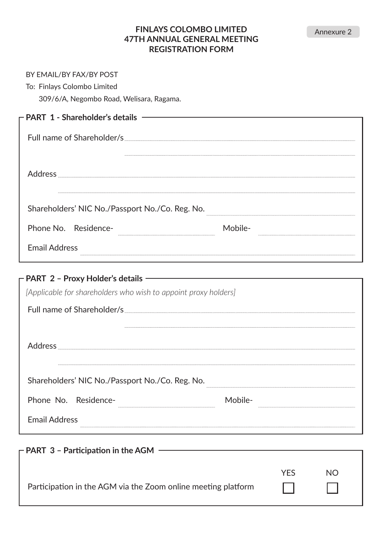## **FINLAYS COLOMBO LIMITED 47TH ANNUAL GENERAL MEETING REGISTRATION FORM**

| BY EMAIL/BY FAX/BY POST<br>To: Finlays Colombo Limited<br>309/6/A, Negombo Road, Welisara, Ragama.                                    |         |     |    |  |
|---------------------------------------------------------------------------------------------------------------------------------------|---------|-----|----|--|
| - PART 1 - Shareholder's details ———                                                                                                  |         |     |    |  |
|                                                                                                                                       |         |     |    |  |
|                                                                                                                                       |         |     |    |  |
| Shareholders' NIC No./Passport No./Co. Reg. No.                                                                                       |         |     |    |  |
| Phone No. Residence-                                                                                                                  | Mobile- |     |    |  |
| <b>Email Address</b>                                                                                                                  |         |     |    |  |
| - PART 2 - Proxy Holder's details ——<br>[Applicable for shareholders who wish to appoint proxy holders]<br>Full name of Shareholder/s |         |     |    |  |
| Shareholders' NIC No./Passport No./Co. Reg. No.                                                                                       |         |     |    |  |
| Phone No. Residence-                                                                                                                  | Mobile- |     |    |  |
| <b>Email Address</b>                                                                                                                  |         |     |    |  |
| $-$ PART 3 - Participation in the AGM $-$                                                                                             |         |     |    |  |
| Participation in the AGM via the Zoom online meeting platform                                                                         |         | YES | NΟ |  |